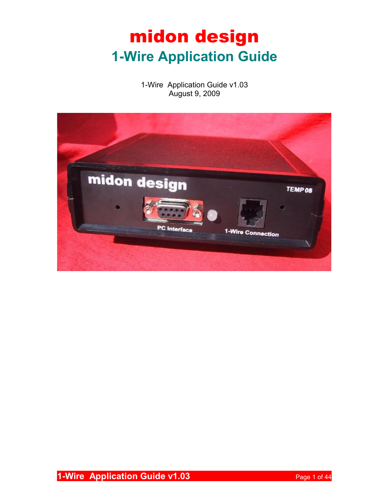# midon design **1-Wire Application Guide**

1-Wire Application Guide v1.03 August 9, 2009

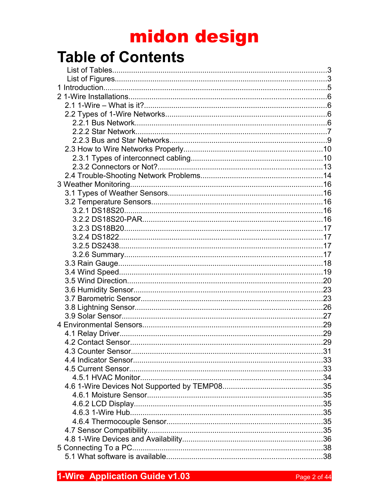# midon design

## **Table of Contents**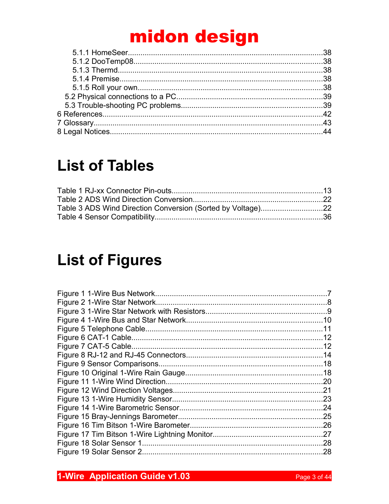# midon design

## **List of Tables**

## **List of Figures**

| 11  |
|-----|
| .12 |
|     |
| .14 |
|     |
|     |
| .20 |
| .21 |
| .23 |
| .24 |
| .25 |
| .26 |
| .27 |
| .28 |
| .28 |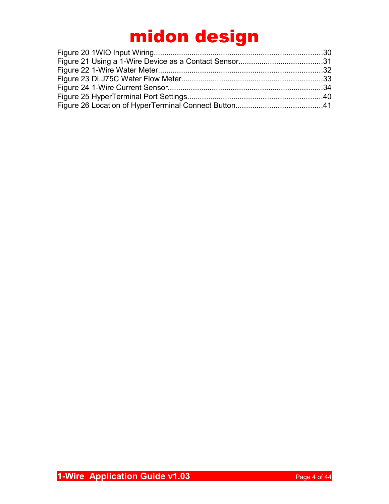# midon design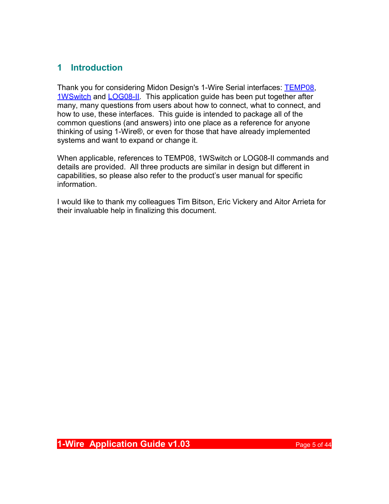## **1 Introduction**

Thank you for considering Midon Design's 1-Wire Serial interfaces: [TEMP08,](http://www.midondesign.com/TEMP08/TEMP08.html) [1WSwitch](http://www.midondesign.com/1WSwitch/1WSwitch.html) and [LOG08-II.](http://www.midondesign.com/LOG08-II/LOG08-II.html) This application guide has been put together after many, many questions from users about how to connect, what to connect, and how to use, these interfaces. This guide is intended to package all of the common questions (and answers) into one place as a reference for anyone thinking of using 1-Wire®, or even for those that have already implemented systems and want to expand or change it.

When applicable, references to TEMP08, 1WSwitch or LOG08-II commands and details are provided. All three products are similar in design but different in capabilities, so please also refer to the product's user manual for specific information.

I would like to thank my colleagues Tim Bitson, Eric Vickery and Aitor Arrieta for their invaluable help in finalizing this document.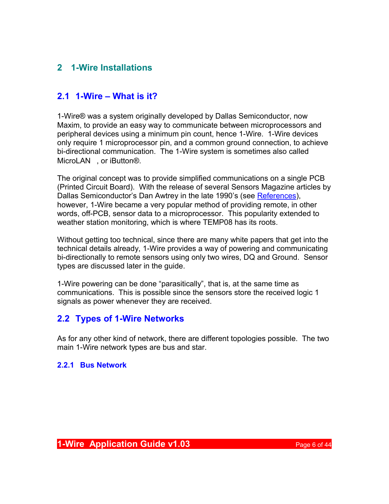## **2 1-Wire Installations**

## **2.1 1-Wire – What is it?**

1-Wire® was a system originally developed by Dallas Semiconductor, now Maxim, to provide an easy way to communicate between microprocessors and peripheral devices using a minimum pin count, hence 1-Wire. 1-Wire devices only require 1 microprocessor pin, and a common ground connection, to achieve bi-directional communication. The 1-Wire system is sometimes also called MicroLAN™, or iButton<sup>®</sup>.

The original concept was to provide simplified communications on a single PCB (Printed Circuit Board). With the release of several Sensors Magazine articles by Dallas Semiconductor's Dan Awtrey in the late 1990's (see [References\)](#page-41-0), however, 1-Wire became a very popular method of providing remote, in other words, off-PCB, sensor data to a microprocessor. This popularity extended to weather station monitoring, which is where TEMP08 has its roots.

Without getting too technical, since there are many white papers that get into the technical details already, 1-Wire provides a way of powering and communicating bi-directionally to remote sensors using only two wires, DQ and Ground. Sensor types are discussed later in the guide.

1-Wire powering can be done "parasitically", that is, at the same time as communications. This is possible since the sensors store the received logic 1 signals as power whenever they are received.

## **2.2 Types of 1-Wire Networks**

As for any other kind of network, there are different topologies possible. The two main 1-Wire network types are bus and star.

#### **2.2.1 Bus Network**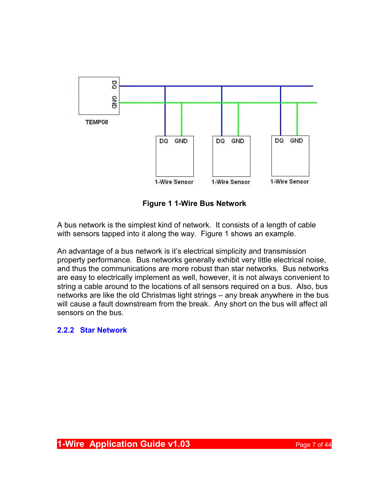

**Figure 1 1-Wire Bus Network**

A bus network is the simplest kind of network. It consists of a length of cable with sensors tapped into it along the way. Figure 1 shows an example.

An advantage of a bus network is it's electrical simplicity and transmission property performance. Bus networks generally exhibit very little electrical noise, and thus the communications are more robust than star networks. Bus networks are easy to electrically implement as well, however, it is not always convenient to string a cable around to the locations of all sensors required on a bus. Also, bus networks are like the old Christmas light strings – any break anywhere in the bus will cause a fault downstream from the break. Any short on the bus will affect all sensors on the bus.

#### **2.2.2 Star Network**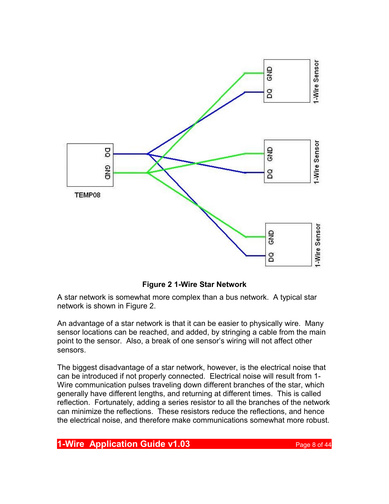

**Figure 2 1-Wire Star Network**

A star network is somewhat more complex than a bus network. A typical star network is shown in Figure 2.

An advantage of a star network is that it can be easier to physically wire. Many sensor locations can be reached, and added, by stringing a cable from the main point to the sensor. Also, a break of one sensor's wiring will not affect other sensors.

The biggest disadvantage of a star network, however, is the electrical noise that can be introduced if not properly connected. Electrical noise will result from 1- Wire communication pulses traveling down different branches of the star, which generally have different lengths, and returning at different times. This is called reflection. Fortunately, adding a series resistor to all the branches of the network can minimize the reflections. These resistors reduce the reflections, and hence the electrical noise, and therefore make communications somewhat more robust.

#### **1-Wire Application Guide v1.03 Page 8 of 44**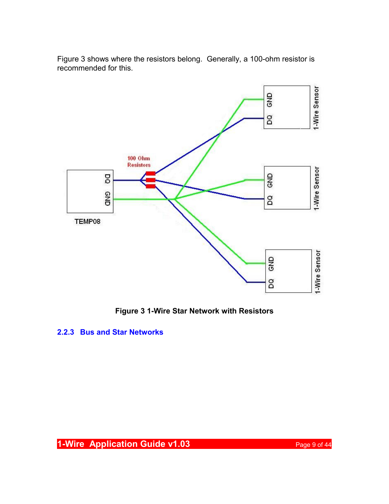

Figure 3 shows where the resistors belong. Generally, a 100-ohm resistor is recommended for this.

**Figure 3 1-Wire Star Network with Resistors**

#### **2.2.3 Bus and Star Networks**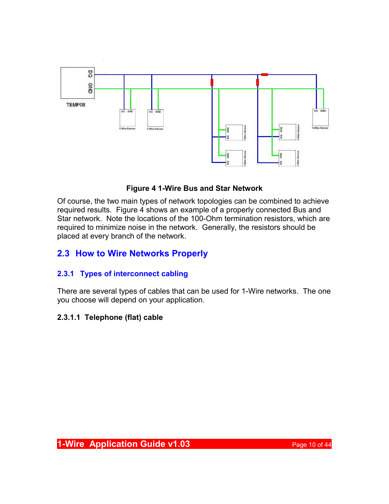

#### **Figure 4 1-Wire Bus and Star Network**

Of course, the two main types of network topologies can be combined to achieve required results. Figure 4 shows an example of a properly connected Bus and Star network. Note the locations of the 100-Ohm termination resistors, which are required to minimize noise in the network. Generally, the resistors should be placed at every branch of the network.

## **2.3 How to Wire Networks Properly**

## **2.3.1 Types of interconnect cabling**

There are several types of cables that can be used for 1-Wire networks. The one you choose will depend on your application.

## **2.3.1.1 Telephone (flat) cable**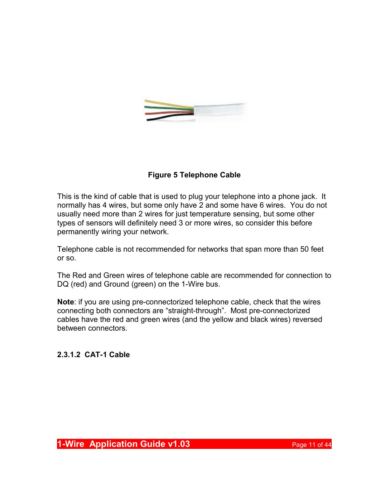

## **Figure 5 Telephone Cable**

This is the kind of cable that is used to plug your telephone into a phone jack. It normally has 4 wires, but some only have 2 and some have 6 wires. You do not usually need more than 2 wires for just temperature sensing, but some other types of sensors will definitely need 3 or more wires, so consider this before permanently wiring your network.

Telephone cable is not recommended for networks that span more than 50 feet or so.

The Red and Green wires of telephone cable are recommended for connection to DQ (red) and Ground (green) on the 1-Wire bus.

**Note**: if you are using pre-connectorized telephone cable, check that the wires connecting both connectors are "straight-through". Most pre-connectorized cables have the red and green wires (and the yellow and black wires) reversed between connectors.

**2.3.1.2 CAT-1 Cable**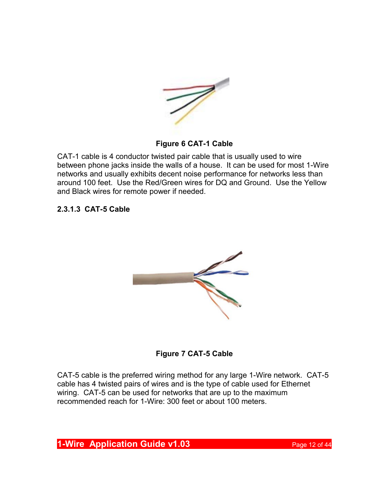

#### **Figure 6 CAT-1 Cable**

CAT-1 cable is 4 conductor twisted pair cable that is usually used to wire between phone jacks inside the walls of a house. It can be used for most 1-Wire networks and usually exhibits decent noise performance for networks less than around 100 feet. Use the Red/Green wires for DQ and Ground. Use the Yellow and Black wires for remote power if needed.

**2.3.1.3 CAT-5 Cable**





CAT-5 cable is the preferred wiring method for any large 1-Wire network. CAT-5 cable has 4 twisted pairs of wires and is the type of cable used for Ethernet wiring. CAT-5 can be used for networks that are up to the maximum recommended reach for 1-Wire: 300 feet or about 100 meters.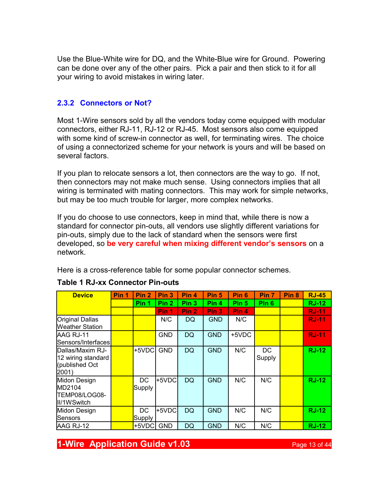Use the Blue-White wire for DQ, and the White-Blue wire for Ground. Powering can be done over any of the other pairs. Pick a pair and then stick to it for all your wiring to avoid mistakes in wiring later.

#### **2.3.2 Connectors or Not?**

Most 1-Wire sensors sold by all the vendors today come equipped with modular connectors, either RJ-11, RJ-12 or RJ-45. Most sensors also come equipped with some kind of screw-in connector as well, for terminating wires. The choice of using a connectorized scheme for your network is yours and will be based on several factors.

If you plan to relocate sensors a lot, then connectors are the way to go. If not, then connectors may not make much sense. Using connectors implies that all wiring is terminated with mating connectors. This may work for simple networks, but may be too much trouble for larger, more complex networks.

If you do choose to use connectors, keep in mind that, while there is now a standard for connector pin-outs, all vendors use slightly different variations for pin-outs, simply due to the lack of standard when the sensors were first developed, so **be very careful when mixing different vendor's sensors** on a network.

Here is a cross-reference table for some popular connector schemes.

| <b>Device</b>                                                      | Pin 1 | Pin <sub>2</sub> | Pin <sub>3</sub> | Pin 4            | Pin <sub>5</sub> | Pin 6            | Pin <sub>7</sub> | Pin <sub>8</sub> | <b>RJ-45</b> |
|--------------------------------------------------------------------|-------|------------------|------------------|------------------|------------------|------------------|------------------|------------------|--------------|
|                                                                    |       | Pin 1            | Pin <sub>2</sub> | Pin <sub>3</sub> | Pin 4            | Pin <sub>5</sub> | Pin <sub>6</sub> |                  | <b>RJ-12</b> |
|                                                                    |       |                  | Pin 1            | Pin <sub>2</sub> | Pin <sub>3</sub> | Pin <sub>4</sub> |                  |                  | <b>RJ-11</b> |
| Original Dallas<br>Weather Station                                 |       |                  | N/C              | DQ               | <b>GND</b>       | N/C              |                  |                  | <b>RJ-11</b> |
| IAAG RJ-11<br> Sensors/Interfaces                                  |       |                  | <b>GND</b>       | <b>DQ</b>        | <b>GND</b>       | +5VDC            |                  |                  | <b>RJ-11</b> |
| lDallas/Maxim RJ-<br>12 wiring standard<br>(published Oct<br>2001) |       | +5VDC            | <b>GND</b>       | <b>DQ</b>        | <b>GND</b>       | N/C              | DC<br>Supply     |                  | <b>RJ-12</b> |
| Midon Design<br>IMD2104<br>TEMP08/LOG08-<br>III/1WSwitch           |       | DC<br>Supply     | +5VDC            | <b>DQ</b>        | <b>GND</b>       | N/C              | N/C              |                  | <b>RJ-12</b> |
| Midon Design<br>lSensors                                           |       | DC<br>Supply     | +5VDC            | <b>DQ</b>        | <b>GND</b>       | N/C              | N/C              |                  | <b>RJ-12</b> |
| <b>JAAG RJ-12</b>                                                  |       | +5VDC            | <b>GND</b>       | DQ               | <b>GND</b>       | N/C              | N/C              |                  | <b>RJ-12</b> |

#### **Table 1 RJ-xx Connector Pin-outs**

**1-Wire Application Guide v1.03 Page 13 of 44**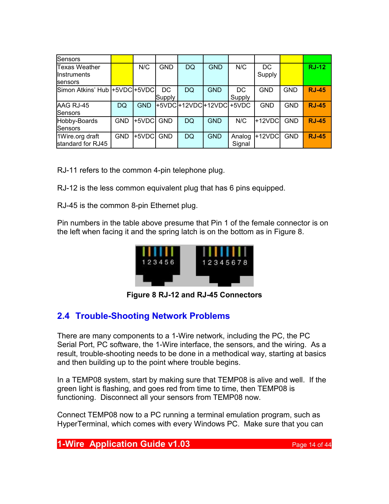| Sensors                                          |            |            |              |                       |            |                  |              |            |              |
|--------------------------------------------------|------------|------------|--------------|-----------------------|------------|------------------|--------------|------------|--------------|
| Texas Weather<br>llnstruments<br><b>Isensors</b> |            | N/C        | <b>GND</b>   | DQ                    | <b>GND</b> | N/C              | DC<br>Supply |            | <b>RJ-12</b> |
| Simon Atkins' Hub  +5VDC +5VDC                   |            |            | DC<br>Supply | DQ                    | <b>GND</b> | DC<br>Supply     | <b>GND</b>   | <b>GND</b> | <b>RJ-45</b> |
| AAG RJ-45<br>lSensors                            | DQ         | <b>GND</b> |              | +5VDC + 12VDC + 12VDC |            | $+5VDC$          | <b>GND</b>   | <b>GND</b> | <b>RJ-45</b> |
| Hobby-Boards<br>lSensors                         | <b>GND</b> | +5VDC      | <b>GND</b>   | DQ                    | <b>GND</b> | N/C              | $+12VDC$     | <b>GND</b> | <b>RJ-45</b> |
| 1Wire.org draft<br>standard for RJ45             | <b>GND</b> | +5VDC      | <b>GND</b>   | DQ                    | <b>GND</b> | Analog<br>Signal | +12VDC       | <b>GND</b> | <b>RJ-45</b> |

RJ-11 refers to the common 4-pin telephone plug.

RJ-12 is the less common equivalent plug that has 6 pins equipped.

RJ-45 is the common 8-pin Ethernet plug.

Pin numbers in the table above presume that Pin 1 of the female connector is on the left when facing it and the spring latch is on the bottom as in Figure 8.



**Figure 8 RJ-12 and RJ-45 Connectors**

## **2.4 Trouble-Shooting Network Problems**

There are many components to a 1-Wire network, including the PC, the PC Serial Port, PC software, the 1-Wire interface, the sensors, and the wiring. As a result, trouble-shooting needs to be done in a methodical way, starting at basics and then building up to the point where trouble begins.

In a TEMP08 system, start by making sure that TEMP08 is alive and well. If the green light is flashing, and goes red from time to time, then TEMP08 is functioning. Disconnect all your sensors from TEMP08 now.

Connect TEMP08 now to a PC running a terminal emulation program, such as HyperTerminal, which comes with every Windows PC. Make sure that you can

**1-Wire Application Guide v1.03 Page 14 of 44**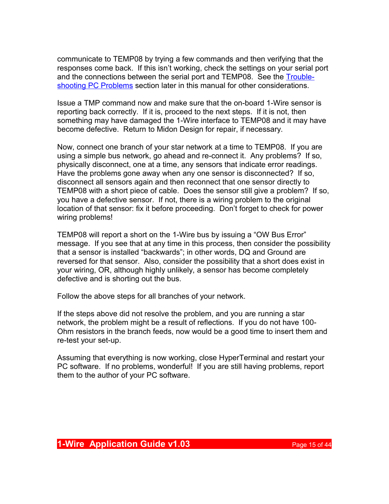communicate to TEMP08 by trying a few commands and then verifying that the responses come back. If this isn't working, check the settings on your serial port and the connections between the serial port and TEMP08. See the [Trouble](#page-38-0)[shooting PC Problems](#page-38-0) section later in this manual for other considerations.

Issue a TMP command now and make sure that the on-board 1-Wire sensor is reporting back correctly. If it is, proceed to the next steps. If it is not, then something may have damaged the 1-Wire interface to TEMP08 and it may have become defective. Return to Midon Design for repair, if necessary.

Now, connect one branch of your star network at a time to TEMP08. If you are using a simple bus network, go ahead and re-connect it. Any problems? If so, physically disconnect, one at a time, any sensors that indicate error readings. Have the problems gone away when any one sensor is disconnected? If so, disconnect all sensors again and then reconnect that one sensor directly to TEMP08 with a short piece of cable. Does the sensor still give a problem? If so, you have a defective sensor. If not, there is a wiring problem to the original location of that sensor: fix it before proceeding. Don't forget to check for power wiring problems!

TEMP08 will report a short on the 1-Wire bus by issuing a "OW Bus Error" message. If you see that at any time in this process, then consider the possibility that a sensor is installed "backwards"; in other words, DQ and Ground are reversed for that sensor. Also, consider the possibility that a short does exist in your wiring, OR, although highly unlikely, a sensor has become completely defective and is shorting out the bus.

Follow the above steps for all branches of your network.

If the steps above did not resolve the problem, and you are running a star network, the problem might be a result of reflections. If you do not have 100- Ohm resistors in the branch feeds, now would be a good time to insert them and re-test your set-up.

Assuming that everything is now working, close HyperTerminal and restart your PC software. If no problems, wonderful! If you are still having problems, report them to the author of your PC software.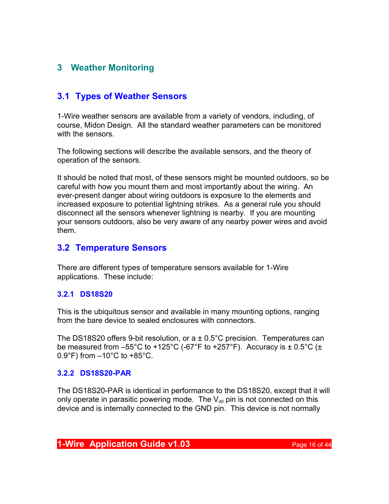## **3 Weather Monitoring**

## **3.1 Types of Weather Sensors**

1-Wire weather sensors are available from a variety of vendors, including, of course, Midon Design. All the standard weather parameters can be monitored with the sensors.

The following sections will describe the available sensors, and the theory of operation of the sensors.

It should be noted that most, of these sensors might be mounted outdoors, so be careful with how you mount them and most importantly about the wiring. An ever-present danger about wiring outdoors is exposure to the elements and increased exposure to potential lightning strikes. As a general rule you should disconnect all the sensors whenever lightning is nearby. If you are mounting your sensors outdoors, also be very aware of any nearby power wires and avoid them.

## **3.2 Temperature Sensors**

There are different types of temperature sensors available for 1-Wire applications. These include:

#### **3.2.1 DS18S20**

This is the ubiquitous sensor and available in many mounting options, ranging from the bare device to sealed enclosures with connectors.

The DS18S20 offers 9-bit resolution, or  $a \pm 0.5^{\circ}$ C precision. Temperatures can be measured from  $-55^{\circ}$ C to +125 $^{\circ}$ C (-67 $^{\circ}$ F to +257 $^{\circ}$ F). Accuracy is  $\pm$  0.5 $^{\circ}$ C ( $\pm$  $0.9^{\circ}$ F) from  $-10^{\circ}$ C to  $+85^{\circ}$ C.

#### **3.2.2 DS18S20-PAR**

The DS18S20-PAR is identical in performance to the DS18S20, except that it will only operate in parasitic powering mode. The  $V_{dd}$  pin is not connected on this device and is internally connected to the GND pin. This device is not normally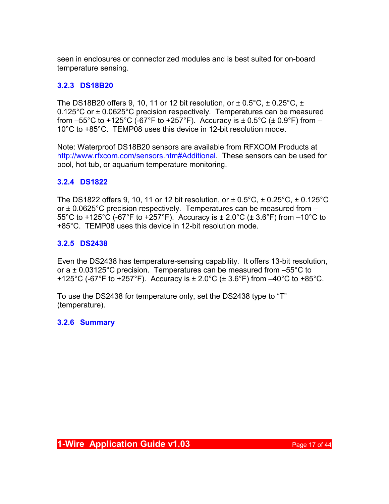seen in enclosures or connectorized modules and is best suited for on-board temperature sensing.

## **3.2.3 DS18B20**

The DS18B20 offers 9, 10, 11 or 12 bit resolution, or  $\pm$  0.5°C,  $\pm$  0.25°C,  $\pm$ 0.125°C or ± 0.0625°C precision respectively. Temperatures can be measured from  $-55^{\circ}$ C to +125°C (-67°F to +257°F). Accuracy is  $\pm$  0.5°C ( $\pm$  0.9°F) from  $-$ 10°C to +85°C. TEMP08 uses this device in 12-bit resolution mode.

Note: Waterproof DS18B20 sensors are available from RFXCOM Products at [http://www.rfxcom.com/sensors.htm#Additional.](http://www.rfxcom.com/sensors.htm#Additional) These sensors can be used for pool, hot tub, or aquarium temperature monitoring.

## **3.2.4 DS1822**

The DS1822 offers 9, 10, 11 or 12 bit resolution, or  $\pm$  0.5°C,  $\pm$  0.25°C,  $\pm$  0.125°C or  $\pm$  0.0625°C precision respectively. Temperatures can be measured from  $-$ 55°C to +125°C (-67°F to +257°F). Accuracy is  $\pm$  2.0°C ( $\pm$  3.6°F) from -10°C to +85°C. TEMP08 uses this device in 12-bit resolution mode.

#### **3.2.5 DS2438**

Even the DS2438 has temperature-sensing capability. It offers 13-bit resolution, or a  $\pm$  0.03125°C precision. Temperatures can be measured from  $-55^{\circ}$ C to +125°C (-67°F to +257°F). Accuracy is  $\pm 2.0$ °C ( $\pm 3.6$ °F) from  $-40$ °C to +85°C.

To use the DS2438 for temperature only, set the DS2438 type to "T" (temperature).

#### **3.2.6 Summary**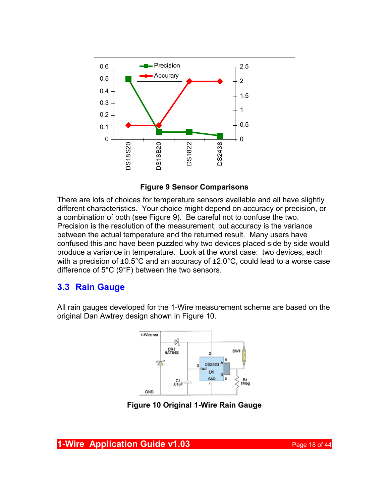

**Figure 9 Sensor Comparisons**

There are lots of choices for temperature sensors available and all have slightly different characteristics. Your choice might depend on accuracy or precision, or a combination of both (see Figure 9). Be careful not to confuse the two. Precision is the resolution of the measurement, but accuracy is the variance between the actual temperature and the returned result. Many users have confused this and have been puzzled why two devices placed side by side would produce a variance in temperature. Look at the worst case: two devices, each with a precision of  $\pm 0.5^{\circ}$ C and an accuracy of  $\pm 2.0^{\circ}$ C, could lead to a worse case difference of 5°C (9°F) between the two sensors.

## **3.3 Rain Gauge**

All rain gauges developed for the 1-Wire measurement scheme are based on the original Dan Awtrey design shown in Figure 10.



**Figure 10 Original 1-Wire Rain Gauge**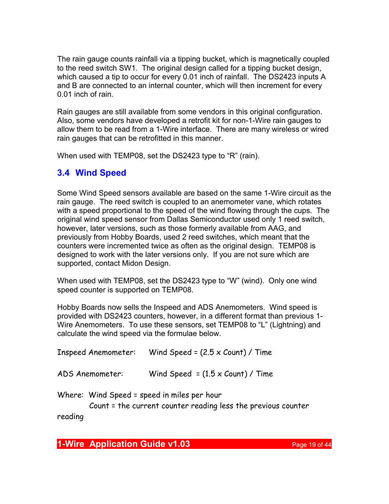The rain gauge counts rainfall via a tipping bucket, which is magnetically coupled to the reed switch SW1. The original design called for a tipping bucket design, which caused a tip to occur for every 0.01 inch of rainfall. The DS2423 inputs A and B are connected to an internal counter, which will then increment for every 0.01 inch of rain.

Rain gauges are still available from some vendors in this original configuration. Also, some vendors have developed a retrofit kit for non-1-Wire rain gauges to allow them to be read from a 1-Wire interface. There are many wireless or wired rain gauges that can be retrofitted in this manner.

When used with TEMP08, set the DS2423 type to "R" (rain).

## **3.4 Wind Speed**

Some Wind Speed sensors available are based on the same 1-Wire circuit as the rain gauge. The reed switch is coupled to an anemometer vane, which rotates with a speed proportional to the speed of the wind flowing through the cups. The original wind speed sensor from Dallas Semiconductor used only 1 reed switch, however, later versions, such as those formerly available from AAG, and previously from Hobby Boards, used 2 reed switches, which meant that the counters were incremented twice as often as the original design. TEMP08 is designed to work with the later versions only. If you are not sure which are supported, contact Midon Design.

When used with TEMP08, set the DS2423 type to "W" (wind). Only one wind speed counter is supported on TEMP08.

Hobby Boards now sells the Inspeed and ADS Anemometers. Wind speed is provided with DS2423 counters, however, in a different format than previous 1- Wire Anemometers. To use these sensors, set TEMP08 to "L" (Lightning) and calculate the wind speed via the formulae below.

| <b>Inspeed Anemometer:</b>                  | Wind Speed = $(2.5 \times$ Count) / Time              |
|---------------------------------------------|-------------------------------------------------------|
| ADS Anemometer:                             | Wind Speed = $(1.5 \times$ Count) / Time              |
| Where: Wind Speed = speed in miles per hour | Count = the current counter reading less the previous |

Count = the current counter reading less the previous counter

reading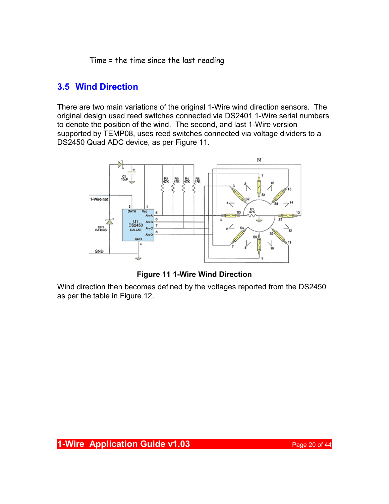Time = the time since the last reading

## **3.5 Wind Direction**

There are two main variations of the original 1-Wire wind direction sensors. The original design used reed switches connected via DS2401 1-Wire serial numbers to denote the position of the wind. The second, and last 1-Wire version supported by TEMP08, uses reed switches connected via voltage dividers to a DS2450 Quad ADC device, as per Figure 11.



**Figure 11 1-Wire Wind Direction**

Wind direction then becomes defined by the voltages reported from the DS2450 as per the table in Figure 12.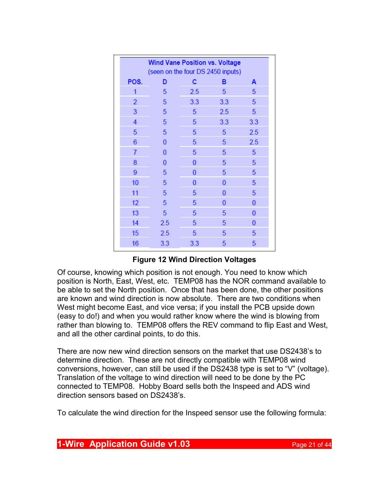|                | <b>Wind Vane Position vs. Voltage</b><br>(seen on the four DS 2450 inputs) |     |     |     |
|----------------|----------------------------------------------------------------------------|-----|-----|-----|
| POS.           | D                                                                          | с   | в   | A   |
| 1              | 5                                                                          | 2.5 | 5   | 5   |
| $\overline{2}$ | 5                                                                          | 3.3 | 3.3 | 5   |
| 3              | 5                                                                          | 5   | 2.5 | 5   |
| 4              | 5                                                                          | 5   | 3.3 | 3.3 |
| 5              | 5                                                                          | 5   | 5   | 2.5 |
| 6              | 0                                                                          | 5   | 5   | 2.5 |
| 7              | n                                                                          | 5   | 5   | 5   |
| 8              | O                                                                          | 0   | 5   | 5   |
| 9              | 5                                                                          | 0   | 5   | 5   |
| 10             | 5                                                                          | 0   | 0   | 5   |
| 11             | 5                                                                          | 5   | 0   | 5   |
| 12             | 5                                                                          | 5   | 0   | 0   |
| 13             | 5                                                                          | 5   | 5   | 0   |
| 14             | 2.5                                                                        | 5   | 5   | 0   |
| 15             | 2.5                                                                        | 5   | 5   | 5   |
| 16             | 3.3                                                                        | 3.3 | 5   | 5   |

#### **Figure 12 Wind Direction Voltages**

Of course, knowing which position is not enough. You need to know which position is North, East, West, etc. TEMP08 has the NOR command available to be able to set the North position. Once that has been done, the other positions are known and wind direction is now absolute. There are two conditions when West might become East, and vice versa; if you install the PCB upside down (easy to do!) and when you would rather know where the wind is blowing from rather than blowing to. TEMP08 offers the REV command to flip East and West, and all the other cardinal points, to do this.

There are now new wind direction sensors on the market that use DS2438's to determine direction. These are not directly compatible with TEMP08 wind conversions, however, can still be used if the DS2438 type is set to "V" (voltage). Translation of the voltage to wind direction will need to be done by the PC connected to TEMP08. Hobby Board sells both the Inspeed and ADS wind direction sensors based on DS2438's.

To calculate the wind direction for the Inspeed sensor use the following formula:

**1-Wire Application Guide v1.03 Page 21 of 44**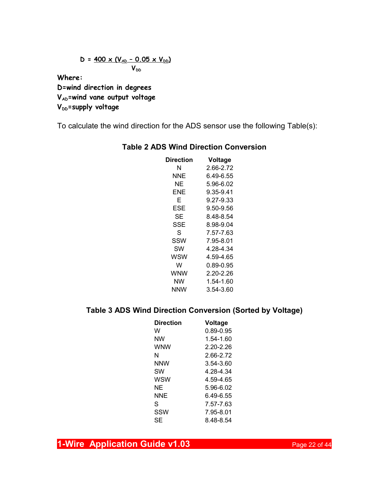$$
D = \frac{400 \times (V_{AD} - 0.05 \times V_{DD})}{V_{DD}}
$$

**Where:**

**D=wind direction in degrees VAD=wind vane output voltage V**<sub>DD</sub>=supply voltage

To calculate the wind direction for the ADS sensor use the following Table(s):

| Direction | Voltage   |
|-----------|-----------|
| N         | 2.66-2.72 |
| NNE       | 6.49-6.55 |
| NΕ        | 5.96-6.02 |
| FNF       | 9.35-9.41 |
| F         | 9.27-9.33 |
| ESE       | 9.50-9.56 |
| SЕ        | 8.48-8.54 |
| SSE       | 8.98-9.04 |
| S         | 7.57-7.63 |
| SSW       | 7.95-8.01 |
| SW        | 4.28-4.34 |
| wsw       | 4.59-4.65 |
| W         | 0.89-0.95 |
| WNW       | 2.20-2.26 |
| NW        | 1.54-1.60 |
| NNW       | 3.54-3.60 |

#### **Table 2 ADS Wind Direction Conversion**

## **Table 3 ADS Wind Direction Conversion (Sorted by Voltage)**

| <b>Direction</b> | Voltage       |
|------------------|---------------|
| w                | 0.89-0.95     |
| NW               | 1.54-1.60     |
| <b>WNW</b>       | $2.20 - 2.26$ |
| N                | 2.66-2.72     |
| NNW              | 3.54-3.60     |
| SW               | 4.28-4.34     |
| WSW              | 4.59-4.65     |
| ΝF               | 5.96-6.02     |
| NNF              | 6.49-6.55     |
| S                | 7.57-7.63     |
| SSW              | 7.95-8.01     |
| SF               | 8.48-8.54     |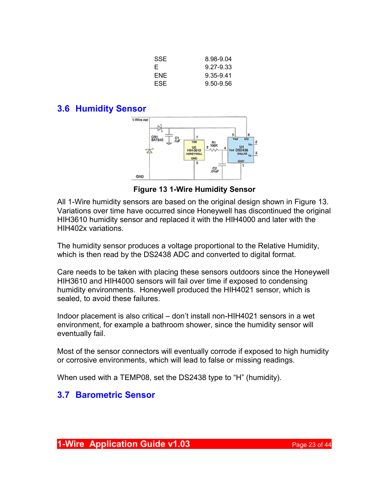| SSE  | 8.98-9.04 |
|------|-----------|
| E    | 9.27-9.33 |
| FNF  | 9.35-9.41 |
| ESE. | 9.50-9.56 |

#### **3.6 Humidity Sensor**



**Figure 13 1-Wire Humidity Sensor**

All 1-Wire humidity sensors are based on the original design shown in Figure 13. Variations over time have occurred since Honeywell has discontinued the original HIH3610 humidity sensor and replaced it with the HIH4000 and later with the HIH402x variations.

The humidity sensor produces a voltage proportional to the Relative Humidity, which is then read by the DS2438 ADC and converted to digital format.

Care needs to be taken with placing these sensors outdoors since the Honeywell HIH3610 and HIH4000 sensors will fail over time if exposed to condensing humidity environments. Honeywell produced the HIH4021 sensor, which is sealed, to avoid these failures.

Indoor placement is also critical – don't install non-HIH4021 sensors in a wet environment, for example a bathroom shower, since the humidity sensor will eventually fail.

Most of the sensor connectors will eventually corrode if exposed to high humidity or corrosive environments, which will lead to false or missing readings.

When used with a TEMP08, set the DS2438 type to "H" (humidity).

## **3.7 Barometric Sensor**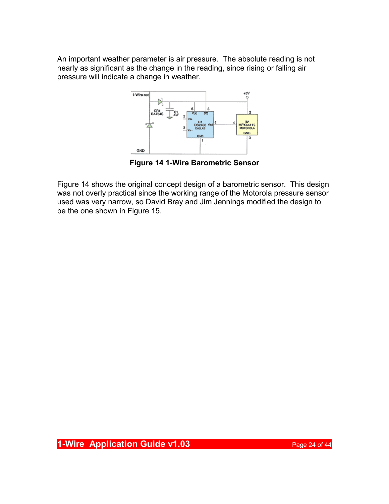An important weather parameter is air pressure. The absolute reading is not nearly as significant as the change in the reading, since rising or falling air pressure will indicate a change in weather.



**Figure 14 1-Wire Barometric Sensor**

Figure 14 shows the original concept design of a barometric sensor. This design was not overly practical since the working range of the Motorola pressure sensor used was very narrow, so David Bray and Jim Jennings modified the design to be the one shown in Figure 15.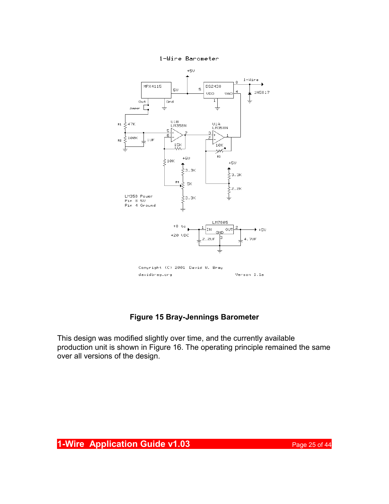



#### **Figure 15 Bray-Jennings Barometer**

This design was modified slightly over time, and the currently available production unit is shown in Figure 16. The operating principle remained the same over all versions of the design.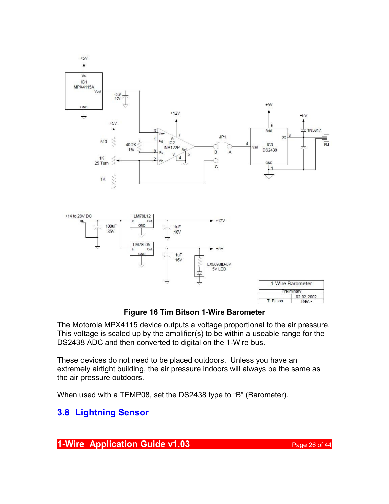

**Figure 16 Tim Bitson 1-Wire Barometer**

The Motorola MPX4115 device outputs a voltage proportional to the air pressure. This voltage is scaled up by the amplifier(s) to be within a useable range for the DS2438 ADC and then converted to digital on the 1-Wire bus.

These devices do not need to be placed outdoors. Unless you have an extremely airtight building, the air pressure indoors will always be the same as the air pressure outdoors.

When used with a TEMP08, set the DS2438 type to "B" (Barometer).

## **3.8 Lightning Sensor**

**1-Wire Application Guide v1.03 Page 26 of 44**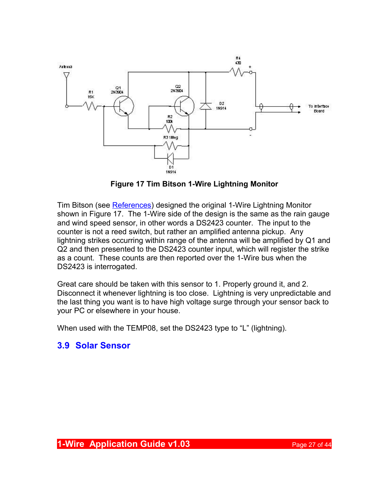

**Figure 17 Tim Bitson 1-Wire Lightning Monitor**

Tim Bitson (see [References\)](#page-41-0) designed the original 1-Wire Lightning Monitor shown in Figure 17. The 1-Wire side of the design is the same as the rain gauge and wind speed sensor, in other words a DS2423 counter. The input to the counter is not a reed switch, but rather an amplified antenna pickup. Any lightning strikes occurring within range of the antenna will be amplified by Q1 and Q2 and then presented to the DS2423 counter input, which will register the strike as a count. These counts are then reported over the 1-Wire bus when the DS2423 is interrogated.

Great care should be taken with this sensor to 1. Properly ground it, and 2. Disconnect it whenever lightning is too close. Lightning is very unpredictable and the last thing you want is to have high voltage surge through your sensor back to your PC or elsewhere in your house.

When used with the TEMP08, set the DS2423 type to "L" (lightning).

## **3.9 Solar Sensor**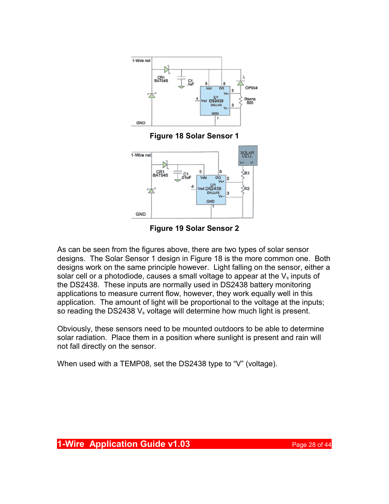







As can be seen from the figures above, there are two types of solar sensor designs. The Solar Sensor 1 design in Figure 18 is the more common one. Both designs work on the same principle however. Light falling on the sensor, either a solar cell or a photodiode, causes a small voltage to appear at the  $V_s$  inputs of the DS2438. These inputs are normally used in DS2438 battery monitoring applications to measure current flow, however, they work equally well in this application. The amount of light will be proportional to the voltage at the inputs; so reading the DS2438  $V_s$  voltage will determine how much light is present.

Obviously, these sensors need to be mounted outdoors to be able to determine solar radiation. Place them in a position where sunlight is present and rain will not fall directly on the sensor.

When used with a TEMP08, set the DS2438 type to "V" (voltage).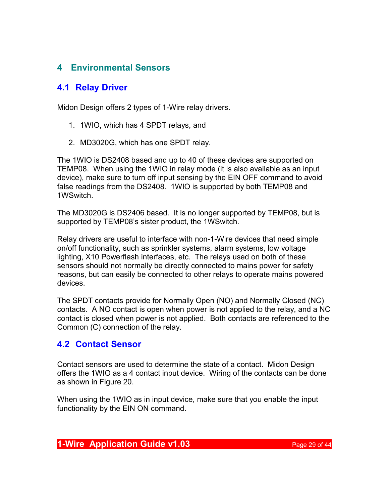## **4 Environmental Sensors**

## **4.1 Relay Driver**

Midon Design offers 2 types of 1-Wire relay drivers.

- 1. 1WIO, which has 4 SPDT relays, and
- 2. MD3020G, which has one SPDT relay.

The 1WIO is DS2408 based and up to 40 of these devices are supported on TEMP08. When using the 1WIO in relay mode (it is also available as an input device), make sure to turn off input sensing by the EIN OFF command to avoid false readings from the DS2408. 1WIO is supported by both TEMP08 and 1WSwitch.

The MD3020G is DS2406 based. It is no longer supported by TEMP08, but is supported by TEMP08's sister product, the 1WSwitch.

Relay drivers are useful to interface with non-1-Wire devices that need simple on/off functionality, such as sprinkler systems, alarm systems, low voltage lighting, X10 Powerflash interfaces, etc. The relays used on both of these sensors should not normally be directly connected to mains power for safety reasons, but can easily be connected to other relays to operate mains powered devices.

The SPDT contacts provide for Normally Open (NO) and Normally Closed (NC) contacts. A NO contact is open when power is not applied to the relay, and a NC contact is closed when power is not applied. Both contacts are referenced to the Common (C) connection of the relay.

## **4.2 Contact Sensor**

Contact sensors are used to determine the state of a contact. Midon Design offers the 1WIO as a 4 contact input device. Wiring of the contacts can be done as shown in Figure 20.

When using the 1WIO as in input device, make sure that you enable the input functionality by the EIN ON command.

#### **1-Wire Application Guide v1.03 Page 29 of 44**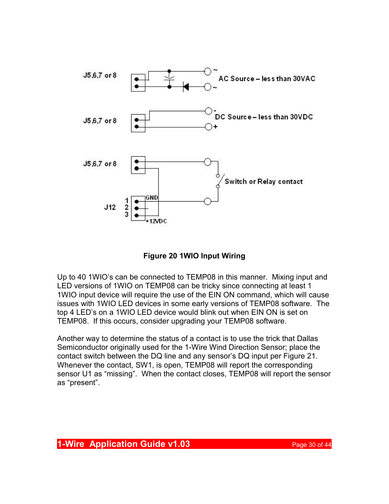

**Figure 20 1WIO Input Wiring**

Up to 40 1WIO's can be connected to TEMP08 in this manner. Mixing input and LED versions of 1WIO on TEMP08 can be tricky since connecting at least 1 1WIO input device will require the use of the EIN ON command, which will cause issues with 1WIO LED devices in some early versions of TEMP08 software. The top 4 LED's on a 1WIO LED device would blink out when EIN ON is set on TEMP08. If this occurs, consider upgrading your TEMP08 software.

Another way to determine the status of a contact is to use the trick that Dallas Semiconductor originally used for the 1-Wire Wind Direction Sensor; place the contact switch between the DQ line and any sensor's DQ input per Figure 21. Whenever the contact, SW1, is open, TEMP08 will report the corresponding sensor U1 as "missing". When the contact closes, TEMP08 will report the sensor as "present".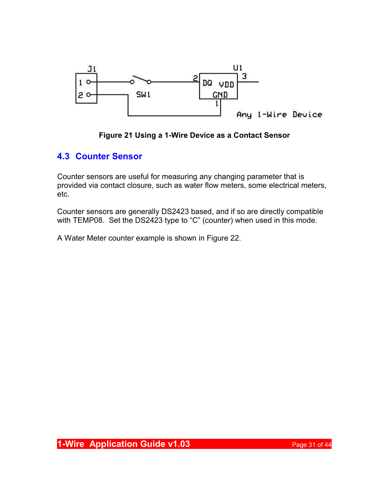

#### **Figure 21 Using a 1-Wire Device as a Contact Sensor**

## **4.3 Counter Sensor**

Counter sensors are useful for measuring any changing parameter that is provided via contact closure, such as water flow meters, some electrical meters, etc.

Counter sensors are generally DS2423 based, and if so are directly compatible with TEMP08. Set the DS2423 type to "C" (counter) when used in this mode.

A Water Meter counter example is shown in Figure 22.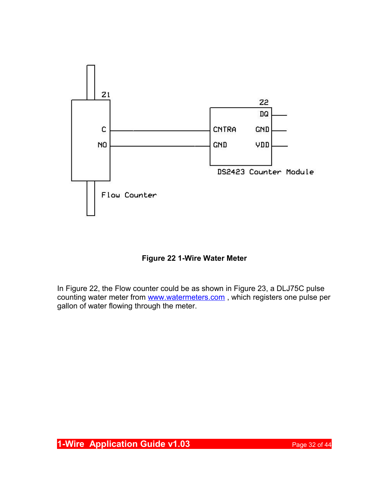

**Figure 22 1-Wire Water Meter**

In Figure 22, the Flow counter could be as shown in Figure 23, a DLJ75C pulse counting water meter from www.watermeters.com, which registers one pulse per gallon of water flowing through the meter.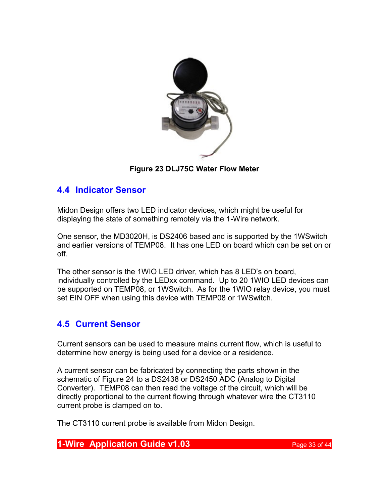

**Figure 23 DLJ75C Water Flow Meter**

## **4.4 Indicator Sensor**

Midon Design offers two LED indicator devices, which might be useful for displaying the state of something remotely via the 1-Wire network.

One sensor, the MD3020H, is DS2406 based and is supported by the 1WSwitch and earlier versions of TEMP08. It has one LED on board which can be set on or off.

The other sensor is the 1WIO LED driver, which has 8 LED's on board, individually controlled by the LEDxx command. Up to 20 1WIO LED devices can be supported on TEMP08, or 1WSwitch. As for the 1WIO relay device, you must set EIN OFF when using this device with TEMP08 or 1WSwitch.

## **4.5 Current Sensor**

Current sensors can be used to measure mains current flow, which is useful to determine how energy is being used for a device or a residence.

A current sensor can be fabricated by connecting the parts shown in the schematic of Figure 24 to a DS2438 or DS2450 ADC (Analog to Digital Converter). TEMP08 can then read the voltage of the circuit, which will be directly proportional to the current flowing through whatever wire the CT3110 current probe is clamped on to.

The CT3110 current probe is available from Midon Design.

**1-Wire Application Guide v1.03 Page 33 of 44**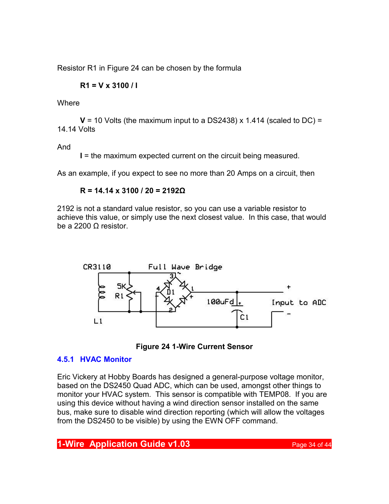Resistor R1 in Figure 24 can be chosen by the formula

$$
R1 = V \times 3100 / I
$$

**Where** 

 $V = 10$  Volts (the maximum input to a DS2438) x 1.414 (scaled to DC) = 14.14 Volts

And

**I** = the maximum expected current on the circuit being measured.

As an example, if you expect to see no more than 20 Amps on a circuit, then

#### **R = 14.14 x 3100 / 20 = 2192Ω**

2192 is not a standard value resistor, so you can use a variable resistor to achieve this value, or simply use the next closest value. In this case, that would be a 2200 Ω resistor.





#### **4.5.1 HVAC Monitor**

Eric Vickery at Hobby Boards has designed a general-purpose voltage monitor, based on the DS2450 Quad ADC, which can be used, amongst other things to monitor your HVAC system. This sensor is compatible with TEMP08. If you are using this device without having a wind direction sensor installed on the same bus, make sure to disable wind direction reporting (which will allow the voltages from the DS2450 to be visible) by using the EWN OFF command.

## **1-Wire Application Guide v1.03 Page 34 of 44**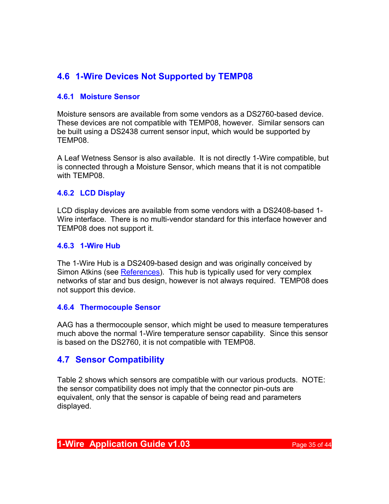## **4.6 1-Wire Devices Not Supported by TEMP08**

#### **4.6.1 Moisture Sensor**

Moisture sensors are available from some vendors as a DS2760-based device. These devices are not compatible with TEMP08, however. Similar sensors can be built using a DS2438 current sensor input, which would be supported by TEMP08.

A Leaf Wetness Sensor is also available. It is not directly 1-Wire compatible, but is connected through a Moisture Sensor, which means that it is not compatible with TEMP08.

#### **4.6.2 LCD Display**

LCD display devices are available from some vendors with a DS2408-based 1- Wire interface. There is no multi-vendor standard for this interface however and TEMP08 does not support it.

#### **4.6.3 1-Wire Hub**

The 1-Wire Hub is a DS2409-based design and was originally conceived by Simon Atkins (see [References\)](#page-41-0). This hub is typically used for very complex networks of star and bus design, however is not always required. TEMP08 does not support this device.

#### **4.6.4 Thermocouple Sensor**

AAG has a thermocouple sensor, which might be used to measure temperatures much above the normal 1-Wire temperature sensor capability. Since this sensor is based on the DS2760, it is not compatible with TEMP08.

## **4.7 Sensor Compatibility**

Table 2 shows which sensors are compatible with our various products. NOTE: the sensor compatibility does not imply that the connector pin-outs are equivalent, only that the sensor is capable of being read and parameters displayed.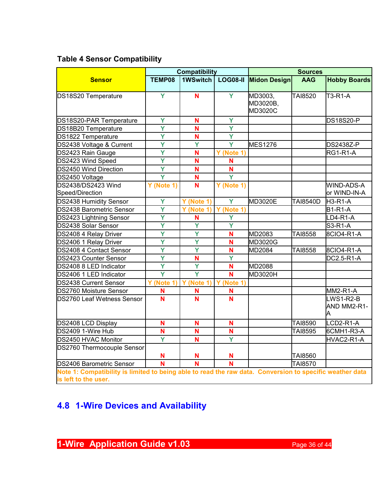## **Table 4 Sensor Compatibility**

|                                                                                                                                  | <b>Compatibility</b>    |                         |                         | <b>Sources</b>                 |                 |                               |  |
|----------------------------------------------------------------------------------------------------------------------------------|-------------------------|-------------------------|-------------------------|--------------------------------|-----------------|-------------------------------|--|
| <b>Sensor</b>                                                                                                                    | TEMP08                  | 1WSwitch                | <b>LOG08-II</b>         | Midon Design                   | <b>AAG</b>      | <b>Hobby Boards</b>           |  |
| DS18S20 Temperature                                                                                                              | Y                       | N                       | Y                       | MD3003,<br>MD3020B,<br>MD3020C | <b>TAI8520</b>  | T3-R1-A                       |  |
| DS18S20-PAR Temperature                                                                                                          | Ÿ                       | N                       | Ÿ                       |                                |                 | <b>DS18S20-P</b>              |  |
| DS18B20 Temperature                                                                                                              | Ÿ                       | Ñ                       | Ÿ                       |                                |                 |                               |  |
| DS1822 Temperature                                                                                                               | $\overline{\mathsf{Y}}$ | Ñ                       | $\overline{\mathsf{Y}}$ |                                |                 |                               |  |
| DS2438 Voltage & Current                                                                                                         | Ÿ                       | Ÿ                       | Ÿ                       | MES1276                        |                 | <b>DS2438Z-P</b>              |  |
| DS2423 Rain Gauge                                                                                                                | $\overline{\mathsf{Y}}$ | N                       | Y (Note 1)              |                                |                 | RG1-R1-A                      |  |
| DS2423 Wind Speed                                                                                                                | Ÿ                       | N                       | N                       |                                |                 |                               |  |
| DS2450 Wind Direction                                                                                                            | Ÿ                       | N                       | N                       |                                |                 |                               |  |
| DS2450 Voltage                                                                                                                   | $\overline{\mathsf{Y}}$ | N                       | $\overline{\mathsf{Y}}$ |                                |                 |                               |  |
| DS2438/DS2423 Wind<br>Speed/Direction                                                                                            | Y (Note 1)              | $\overline{\mathsf{N}}$ | Y (Note 1)              |                                |                 | WIND-ADS-A<br>or WIND-IN-A    |  |
| DS2438 Humidity Sensor                                                                                                           | Ÿ                       | Y (Note 1)              | Ÿ                       | MD3020E                        | <b>TAI8540D</b> | <b>H3-R1-A</b>                |  |
| DS2438 Barometric Sensor                                                                                                         | Ÿ                       | Y (Note 1)              | Y (Note 1)              |                                |                 | <b>B1-R1-A</b>                |  |
| DS2423 Lightning Sensor                                                                                                          | $\overline{\mathsf{Y}}$ | N                       | Ÿ                       |                                |                 | LD4-R1-A                      |  |
| DS2438 Solar Sensor                                                                                                              | $\overline{\mathsf{Y}}$ | $\overline{\mathsf{Y}}$ | $\overline{\mathsf{Y}}$ |                                |                 | S3-R1-A                       |  |
| DS2408 4 Relay Driver                                                                                                            | Ÿ                       | Ÿ                       | N                       | MD2083                         | <b>TAI8558</b>  | 8CIO4-R1-A                    |  |
| DS2406 1 Relay Driver                                                                                                            | Ÿ                       | Ÿ                       | N                       | MD3020G                        |                 |                               |  |
| DS2408 4 Contact Sensor                                                                                                          | Ÿ                       | Ÿ                       | N                       | MD2084                         | TAI8558         | 8CIO4-R1-A                    |  |
| DS2423 Counter Sensor                                                                                                            | $\overline{\mathsf{Y}}$ | N                       | Ÿ                       |                                |                 | DC2.5-R1-A                    |  |
| DS2408 8 LED Indicator                                                                                                           | Ý                       | Ý                       | N                       | MD2088                         |                 |                               |  |
| DS2406 1 LED Indicator                                                                                                           | $\overline{\mathsf{Y}}$ | $\overline{\mathsf{Y}}$ | Ñ                       | MD3020H                        |                 |                               |  |
| DS2438 Current Sensor                                                                                                            | Y (Note 1               | (Note 1)<br>Y           | Y<br>(Note 1)           |                                |                 |                               |  |
| DS2760 Moisture Sensor                                                                                                           | N                       | N                       | N                       |                                |                 | MM2-R1-A                      |  |
| DS2760 Leaf Wetness Sensor                                                                                                       | N                       | Ñ                       | N                       |                                |                 | LWS1-R2-B<br>AND MM2-R1-<br>A |  |
| DS2408 LCD Display                                                                                                               | N                       | N                       | N                       |                                | TAI8590         | LCD2-R1-A                     |  |
| DS2409 1-Wire Hub                                                                                                                | Ñ                       | N                       | Ñ                       |                                | TAI8595         | 6CMH1-R3-A                    |  |
| DS2450 HVAC Monitor                                                                                                              | Ÿ                       | N                       | Ÿ                       |                                |                 | HVAC2-R1-A                    |  |
| DS2760 Thermocouple Sensor                                                                                                       | N                       | N                       | N                       |                                | TAI8560         |                               |  |
| DS2406 Barometric Sensor                                                                                                         | $\overline{\mathsf{N}}$ | $\overline{\mathsf{N}}$ | Ñ                       |                                | TAI8570         |                               |  |
| Note 1: Compatibility is limited to being able to read the raw data. Conversion to specific weather data<br>is left to the user. |                         |                         |                         |                                |                 |                               |  |

## **4.8 1-Wire Devices and Availability**

**1-Wire Application Guide v1.03** Page 36 of 44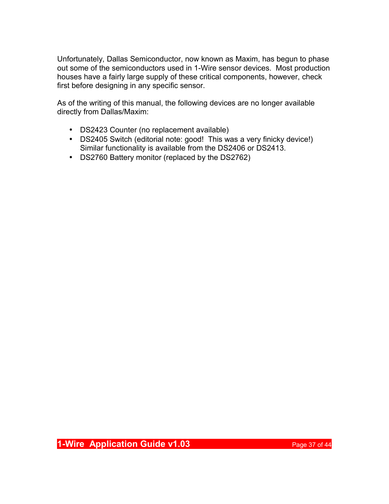Unfortunately, Dallas Semiconductor, now known as Maxim, has begun to phase out some of the semiconductors used in 1-Wire sensor devices. Most production houses have a fairly large supply of these critical components, however, check first before designing in any specific sensor.

As of the writing of this manual, the following devices are no longer available directly from Dallas/Maxim:

- DS2423 Counter (no replacement available)
- DS2405 Switch (editorial note: good! This was a very finicky device!) Similar functionality is available from the DS2406 or DS2413.
- DS2760 Battery monitor (replaced by the DS2762)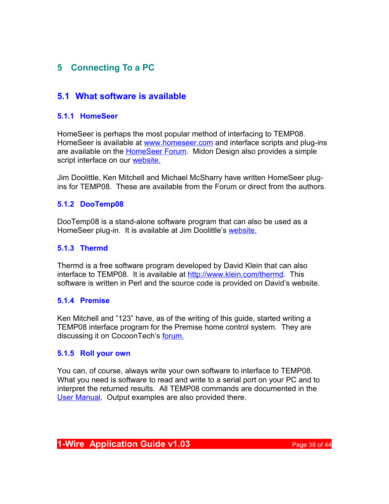## **5 Connecting To a PC**

## **5.1 What software is available**

#### **5.1.1 HomeSeer**

HomeSeer is perhaps the most popular method of interfacing to TEMP08. HomeSeer is available at [www.homeseer.com](http://www.homeseer.com/) and interface scripts and plug-ins are available on the [HomeSeer Forum.](http://board.homeseer.com/) Midon Design also provides a simple script interface on our [website.](http://www.midondesign.com/TEMP08/P08HS_SETUPT8.html)

Jim Doolittle, Ken Mitchell and Michael McSharry have written HomeSeer plugins for TEMP08. These are available from the Forum or direct from the authors.

#### **5.1.2 DooTemp08**

DooTemp08 is a stand-alone software program that can also be used as a HomeSeer plug-in. It is available at Jim Doolittle's [website.](http://www.doosoft.com/dootemp08/default.htm)

#### **5.1.3 Thermd**

Thermd is a free software program developed by David Klein that can also interface to TEMP08. It is available at [http://www.klein.com/thermd.](http://www.klein.com/thermd) This software is written in Perl and the source code is provided on David's website.

#### **5.1.4 Premise**

Ken Mitchell and "123" have, as of the writing of this guide, started writing a TEMP08 interface program for the Premise home control system. They are discussing it on CocoonTech's [forum.](http://www.cocoontech.com/forums/index.php?showtopic=13863)

#### **5.1.5 Roll your own**

You can, of course, always write your own software to interface to TEMP08. What you need is software to read and write to a serial port on your PC and to interpret the returned results. All TEMP08 commands are documented in the [User Manual.](http://www.midondesign.com/Documents/TEMP08%20User%20Guide.PDF) Output examples are also provided there.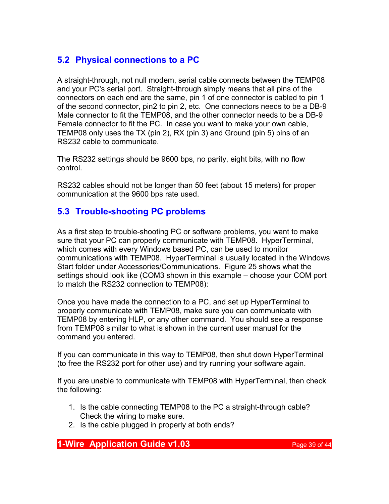## **5.2 Physical connections to a PC**

A straight-through, not null modem, serial cable connects between the TEMP08 and your PC's serial port. Straight-through simply means that all pins of the connectors on each end are the same, pin 1 of one connector is cabled to pin 1 of the second connector, pin2 to pin 2, etc. One connectors needs to be a DB-9 Male connector to fit the TEMP08, and the other connector needs to be a DB-9 Female connector to fit the PC. In case you want to make your own cable, TEMP08 only uses the TX (pin 2), RX (pin 3) and Ground (pin 5) pins of an RS232 cable to communicate.

The RS232 settings should be 9600 bps, no parity, eight bits, with no flow control.

RS232 cables should not be longer than 50 feet (about 15 meters) for proper communication at the 9600 bps rate used.

## <span id="page-38-0"></span>**5.3 Trouble-shooting PC problems**

As a first step to trouble-shooting PC or software problems, you want to make sure that your PC can properly communicate with TEMP08. HyperTerminal, which comes with every Windows based PC, can be used to monitor communications with TEMP08. HyperTerminal is usually located in the Windows Start folder under Accessories/Communications. Figure 25 shows what the settings should look like (COM3 shown in this example – choose your COM port to match the RS232 connection to TEMP08):

Once you have made the connection to a PC, and set up HyperTerminal to properly communicate with TEMP08, make sure you can communicate with TEMP08 by entering HLP, or any other command. You should see a response from TEMP08 similar to what is shown in the current user manual for the command you entered.

If you can communicate in this way to TEMP08, then shut down HyperTerminal (to free the RS232 port for other use) and try running your software again.

If you are unable to communicate with TEMP08 with HyperTerminal, then check the following:

- 1. Is the cable connecting TEMP08 to the PC a straight-through cable? Check the wiring to make sure.
- 2. Is the cable plugged in properly at both ends?

## **1-Wire Application Guide v1.03 Page 39 of 44**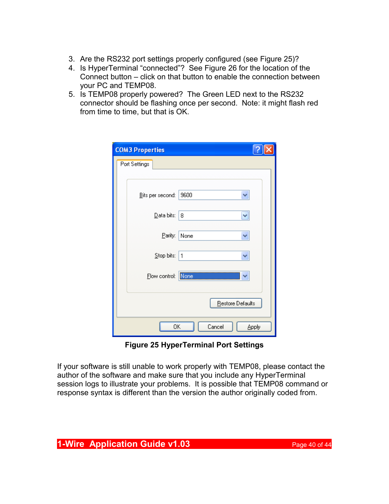- 3. Are the RS232 port settings properly configured (see Figure 25)?
- 4. Is HyperTerminal "connected"? See Figure 26 for the location of the Connect button – click on that button to enable the connection between your PC and TEMP08.
- 5. Is TEMP08 properly powered? The Green LED next to the RS232 connector should be flashing once per second. Note: it might flash red from time to time, but that is OK.

| <b>COM3 Properties</b>        |  |  |  |  |
|-------------------------------|--|--|--|--|
| Port Settings                 |  |  |  |  |
|                               |  |  |  |  |
| 9600<br>Bits per second:<br>× |  |  |  |  |
| Data bits:<br>8<br>٧          |  |  |  |  |
| Parity:<br>None<br>٧          |  |  |  |  |
| Stop bits:<br>1<br>v          |  |  |  |  |
| None<br>Elow control:         |  |  |  |  |
| Restore Defaults              |  |  |  |  |
| OK<br>Cancel<br>Apply         |  |  |  |  |

**Figure 25 HyperTerminal Port Settings**

If your software is still unable to work properly with TEMP08, please contact the author of the software and make sure that you include any HyperTerminal session logs to illustrate your problems. It is possible that TEMP08 command or response syntax is different than the version the author originally coded from.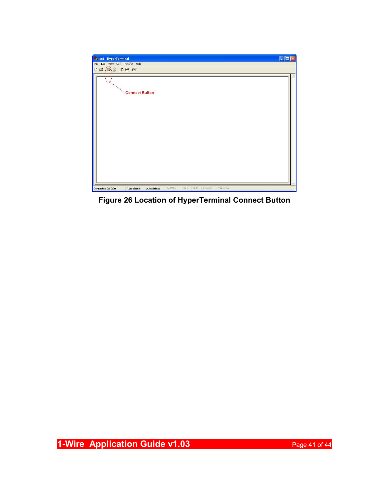

**Figure 26 Location of HyperTerminal Connect Button**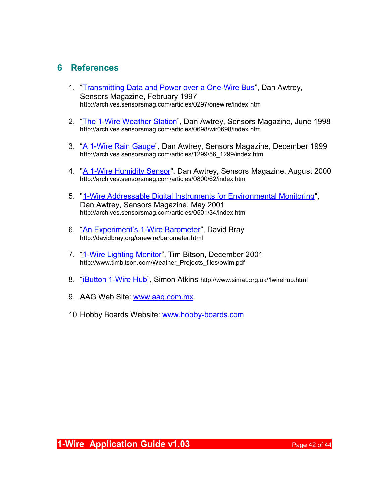## <span id="page-41-0"></span>**6 References**

- 1. ["Transmitting Data and Power over a One-Wire Bus"](http://archives.sensorsmag.com/articles/0297/onewire/index.htm), Dan Awtrey, Sensors Magazine, February 1997 http://archives.sensorsmag.com/articles/0297/onewire/index.htm
- 2. ["The 1-Wire Weather Station"](http://archives.sensorsmag.com/articles/0698/wir0698/index.htm), Dan Awtrey, Sensors Magazine, June 1998 http://archives.sensorsmag.com/articles/0698/wir0698/index.htm
- 3. ["A 1-Wire Rain Gauge"](http://archives.sensorsmag.com/articles/1299/56_1299/index.htm), Dan Awtrey, Sensors Magazine, December 1999 http://archives.sensorsmag.com/articles/1299/56\_1299/index.htm
- 4. ["A 1-Wire Humidity Sensor"](http://archives.sensorsmag.com/articles/0800/62/index.htm), Dan Awtrey, Sensors Magazine, August 2000 http://archives.sensorsmag.com/articles/0800/62/index.htm
- 5. ["1-Wire Addressable Digital Instruments for Environmental Monitoring"](http://archives.sensorsmag.com/articles/0501/34/index.htm), Dan Awtrey, Sensors Magazine, May 2001 http://archives.sensorsmag.com/articles/0501/34/index.htm
- 6. ["An Experiment's 1-Wire Barometer"](http://davidbray.org/onewire/barometer.html), David Bray http://davidbray.org/onewire/barometer.html
- 7. ["1-Wire Lighting Monitor"](http://www.timbitson.com/Weather_Projects_files/owlm.pdf), Tim Bitson, December 2001 http://www.timbitson.com/Weather\_Projects\_files/owlm.pdf
- 8. "i**Button 1-Wire Hub**", Simon Atkins http://www.simat.org.uk/1wirehub.html
- 9. AAG Web Site: [www.aag.com.mx](http://www.aag.com.mx/)
- 10. Hobby Boards Website: [www.hobby-boards.com](http://www.hobby-boards.com/)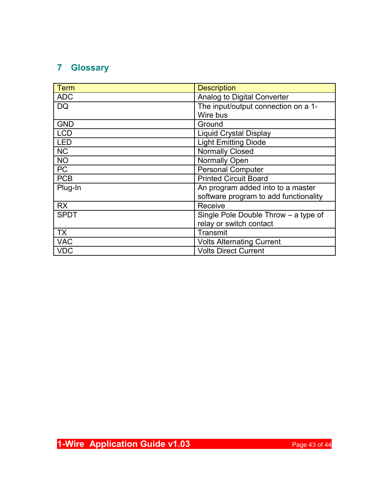## **7 Glossary**

| Term        | <b>Description</b>                    |  |  |
|-------------|---------------------------------------|--|--|
| <b>ADC</b>  | Analog to Digital Converter           |  |  |
| <b>DQ</b>   | The input/output connection on a 1-   |  |  |
|             | Wire bus                              |  |  |
| <b>GND</b>  | Ground                                |  |  |
| <b>LCD</b>  | <b>Liquid Crystal Display</b>         |  |  |
| <b>LED</b>  | <b>Light Emitting Diode</b>           |  |  |
| <b>NC</b>   | <b>Normally Closed</b>                |  |  |
| <b>NO</b>   | <b>Normally Open</b>                  |  |  |
| <b>PC</b>   | <b>Personal Computer</b>              |  |  |
| <b>PCB</b>  | <b>Printed Circuit Board</b>          |  |  |
| Plug-In     | An program added into to a master     |  |  |
|             | software program to add functionality |  |  |
| <b>RX</b>   | Receive                               |  |  |
| <b>SPDT</b> | Single Pole Double Throw - a type of  |  |  |
|             | relay or switch contact               |  |  |
| <b>TX</b>   | Transmit                              |  |  |
| <b>VAC</b>  | <b>Volts Alternating Current</b>      |  |  |
| <b>VDC</b>  | <b>Volts Direct Current</b>           |  |  |